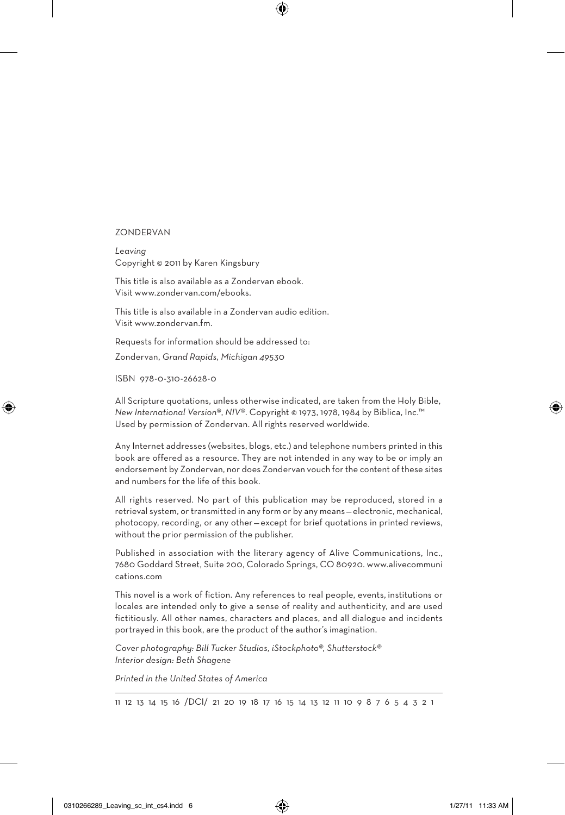## ZONDERVAN

*Leaving*  Copyright © 2011 by Karen Kingsbury

This title is also available as a Zondervan ebook. Visit www.zondervan.com/ebooks.

This title is also available in a Zondervan audio edition. Visit www.zondervan.fm.

Requests for information should be addressed to:

Zondervan, *Grand Rapids, Michigan 49530*

ISBN 978-0-310-26628-0

All Scripture quotations, unless otherwise indicated, are taken from the Holy Bible, *New International Version*®, *NIV*®. Copyright © 1973, 1978, 1984 by Biblica, Inc.™ Used by permission of Zondervan. All rights reserved worldwide.

Any Internet addresses (websites, blogs, etc.) and telephone numbers printed in this book are offered as a resource. They are not intended in any way to be or imply an endorsement by Zondervan, nor does Zondervan vouch for the content of these sites and numbers for the life of this book.

All rights reserved. No part of this publication may be reproduced, stored in a retrieval system, or transmitted in any form or by any means—electronic, mechanical, photocopy, recording, or any other — except for brief quotations in printed reviews, without the prior permission of the publisher.

Published in association with the literary agency of Alive Communications, Inc., 7680 Goddard Street, Suite 200, Colorado Springs, CO 80920. www.alivecommuni cations.com

This novel is a work of fiction. Any references to real people, events, institutions or locales are intended only to give a sense of reality and authenticity, and are used fictitiously. All other names, characters and places, and all dialogue and incidents portrayed in this book, are the product of the author's imagination.

*Cover photography: Bill Tucker Studios, iStockphoto®, Shutterstock® Interior design: Beth Shagene*

*Printed in the United States of America*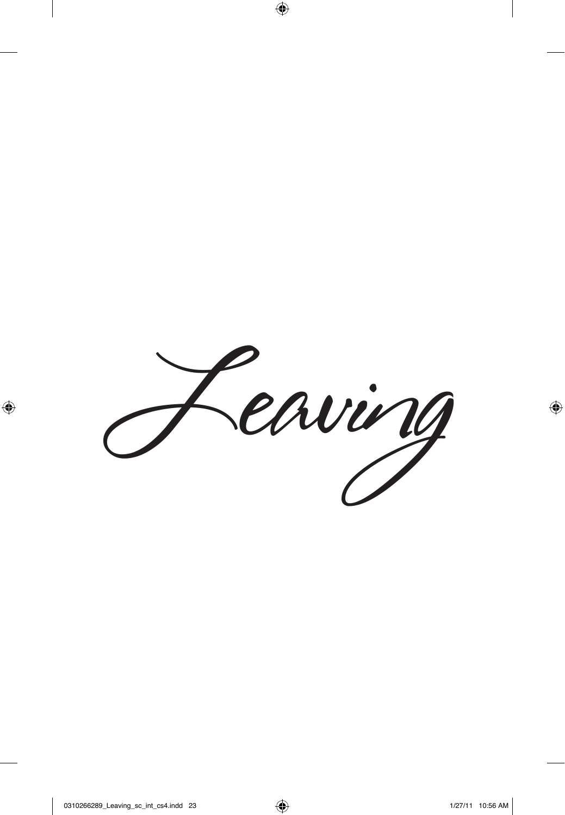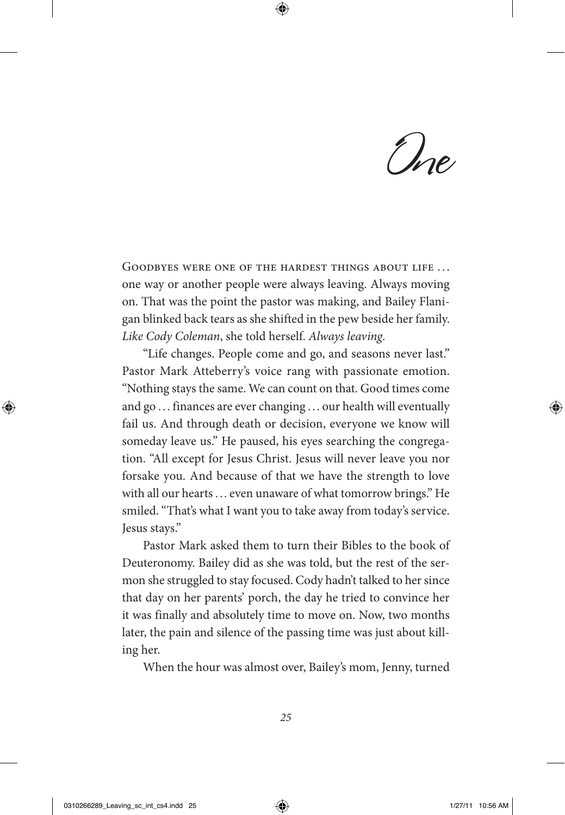One

Goodbyes were one of the hardest things about life . . . one way or another people were always leaving. Always moving on. That was the point the pastor was making, and Bailey Flanigan blinked back tears as she shifted in the pew beside her family. *Like Cody Coleman*, she told herself. *Always leaving*.

"Life changes. People come and go, and seasons never last." Pastor Mark Atteberry's voice rang with passionate emotion. "Nothing stays the same. We can count on that. Good times come and go . . . finances are ever changing . . . our health will eventually fail us. And through death or decision, everyone we know will someday leave us." He paused, his eyes searching the congregation. "All except for Jesus Christ. Jesus will never leave you nor forsake you. And because of that we have the strength to love with all our hearts . . . even unaware of what tomorrow brings." He smiled. "That's what I want you to take away from today's service. Jesus stays."

Pastor Mark asked them to turn their Bibles to the book of Deuteronomy. Bailey did as she was told, but the rest of the sermon she struggled to stay focused. Cody hadn't talked to her since that day on her parents' porch, the day he tried to convince her it was finally and absolutely time to move on. Now, two months later, the pain and silence of the passing time was just about killing her.

When the hour was almost over, Bailey's mom, Jenny, turned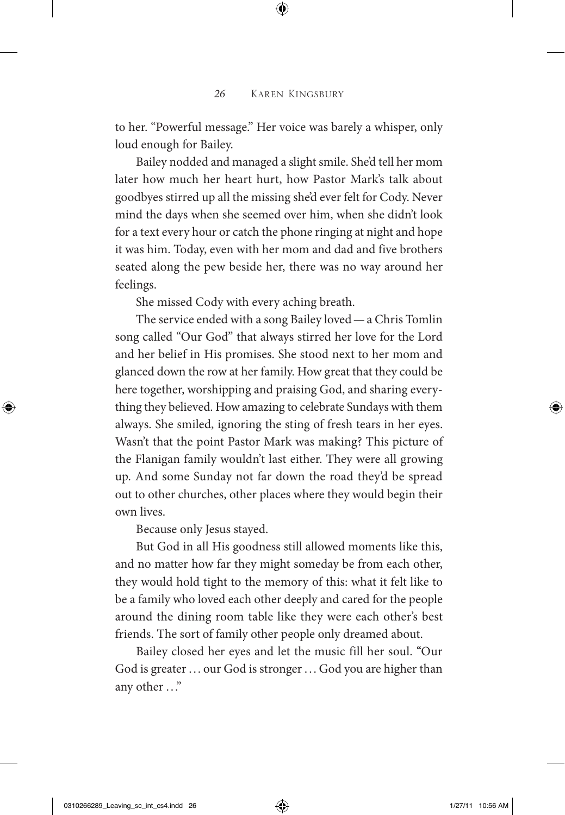to her. "Powerful message." Her voice was barely a whisper, only loud enough for Bailey.

Bailey nodded and managed a slight smile. She'd tell her mom later how much her heart hurt, how Pastor Mark's talk about goodbyes stirred up all the missing she'd ever felt for Cody. Never mind the days when she seemed over him, when she didn't look for a text every hour or catch the phone ringing at night and hope it was him. Today, even with her mom and dad and five brothers seated along the pew beside her, there was no way around her feelings.

She missed Cody with every aching breath.

The service ended with a song Bailey loved — a Chris Tomlin song called "Our God" that always stirred her love for the Lord and her belief in His promises. She stood next to her mom and glanced down the row at her family. How great that they could be here together, worshipping and praising God, and sharing everything they believed. How amazing to celebrate Sundays with them always. She smiled, ignoring the sting of fresh tears in her eyes. Wasn't that the point Pastor Mark was making? This picture of the Flanigan family wouldn't last either. They were all growing up. And some Sunday not far down the road they'd be spread out to other churches, other places where they would begin their own lives.

Because only Jesus stayed.

But God in all His goodness still allowed moments like this, and no matter how far they might someday be from each other, they would hold tight to the memory of this: what it felt like to be a family who loved each other deeply and cared for the people around the dining room table like they were each other's best friends. The sort of family other people only dreamed about.

Bailey closed her eyes and let the music fill her soul. "Our God is greater ... our God is stronger ... God you are higher than any other ..."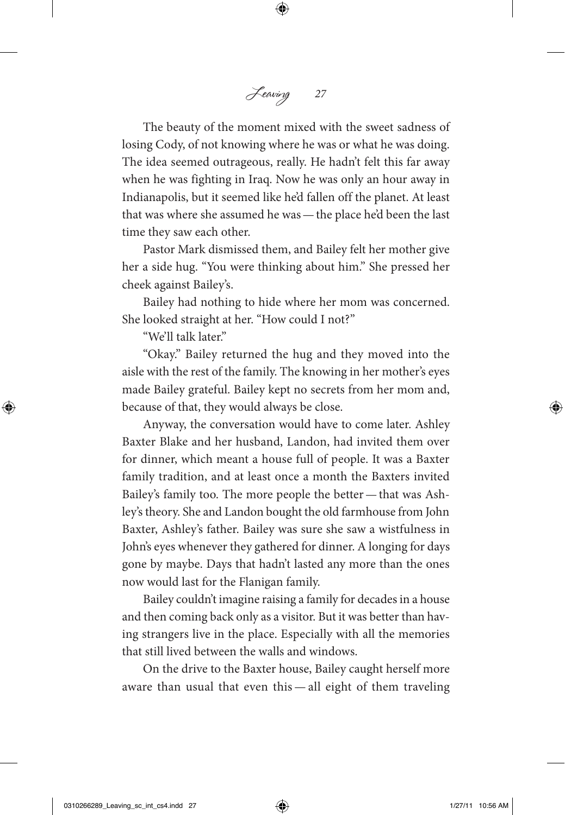

The beauty of the moment mixed with the sweet sadness of losing Cody, of not knowing where he was or what he was doing. The idea seemed outrageous, really. He hadn't felt this far away when he was fighting in Iraq. Now he was only an hour away in Indianapolis, but it seemed like he'd fallen off the planet. At least that was where she assumed he was — the place he'd been the last time they saw each other.

Pastor Mark dismissed them, and Bailey felt her mother give her a side hug. "You were thinking about him." She pressed her cheek against Bailey's.

Bailey had nothing to hide where her mom was concerned. She looked straight at her. "How could I not?"

"We'll talk later."

"Okay." Bailey returned the hug and they moved into the aisle with the rest of the family. The knowing in her mother's eyes made Bailey grateful. Bailey kept no secrets from her mom and, because of that, they would always be close.

Anyway, the conversation would have to come later. Ashley Baxter Blake and her husband, Landon, had invited them over for dinner, which meant a house full of people. It was a Baxter family tradition, and at least once a month the Baxters invited Bailey's family too. The more people the better — that was Ashley's theory. She and Landon bought the old farmhouse from John Baxter, Ashley's father. Bailey was sure she saw a wistfulness in John's eyes whenever they gathered for dinner. A longing for days gone by maybe. Days that hadn't lasted any more than the ones now would last for the Flanigan family.

Bailey couldn't imagine raising a family for decades in a house and then coming back only as a visitor. But it was better than having strangers live in the place. Especially with all the memories that still lived between the walls and windows.

On the drive to the Baxter house, Bailey caught herself more aware than usual that even this — all eight of them traveling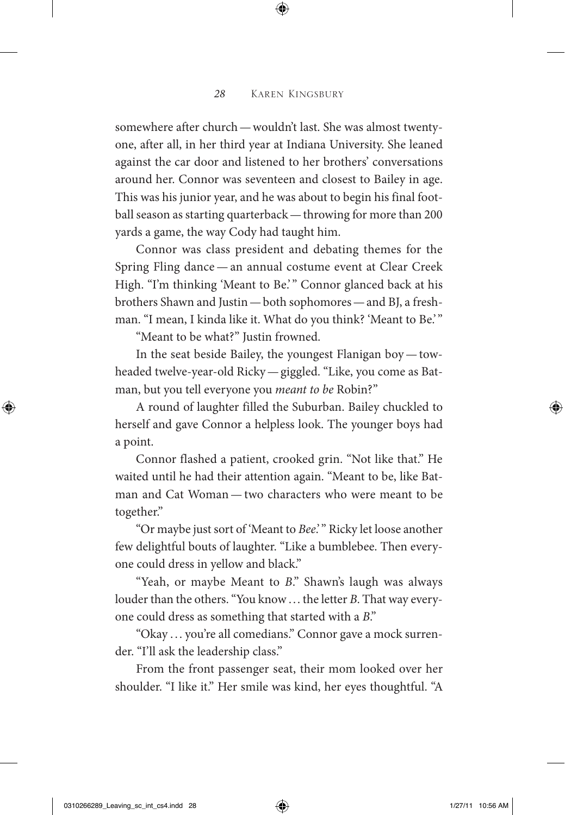somewhere after church — wouldn't last. She was almost twentyone, after all, in her third year at Indiana University. She leaned against the car door and listened to her brothers' conversations around her. Connor was seventeen and closest to Bailey in age. This was his junior year, and he was about to begin his final football season as starting quarterback — throwing for more than 200 yards a game, the way Cody had taught him.

Connor was class president and debating themes for the Spring Fling dance — an annual costume event at Clear Creek High. "I'm thinking 'Meant to Be.'" Connor glanced back at his brothers Shawn and Justin — both sophomores — and BJ, a freshman. "I mean, I kinda like it. What do you think? 'Meant to Be.' "

"Meant to be what?" Justin frowned.

In the seat beside Bailey, the youngest Flanigan boy — towheaded twelve-year-old Ricky — giggled. "Like, you come as Batman, but you tell everyone you *meant to be* Robin?"

A round of laughter filled the Suburban. Bailey chuckled to herself and gave Connor a helpless look. The younger boys had a point.

Connor flashed a patient, crooked grin. "Not like that." He waited until he had their attention again. "Meant to be, like Batman and Cat Woman — two characters who were meant to be together."

"Or maybe just sort of 'Meant to *Bee*.' " Ricky let loose another few delightful bouts of laughter. "Like a bumblebee. Then everyone could dress in yellow and black."

"Yeah, or maybe Meant to *B*." Shawn's laugh was always louder than the others. "You know .. . the letter *B*. That way everyone could dress as something that started with a *B*."

"Okay . . . you're all comedians." Connor gave a mock surrender. "I'll ask the leadership class."

From the front passenger seat, their mom looked over her shoulder. "I like it." Her smile was kind, her eyes thoughtful. "A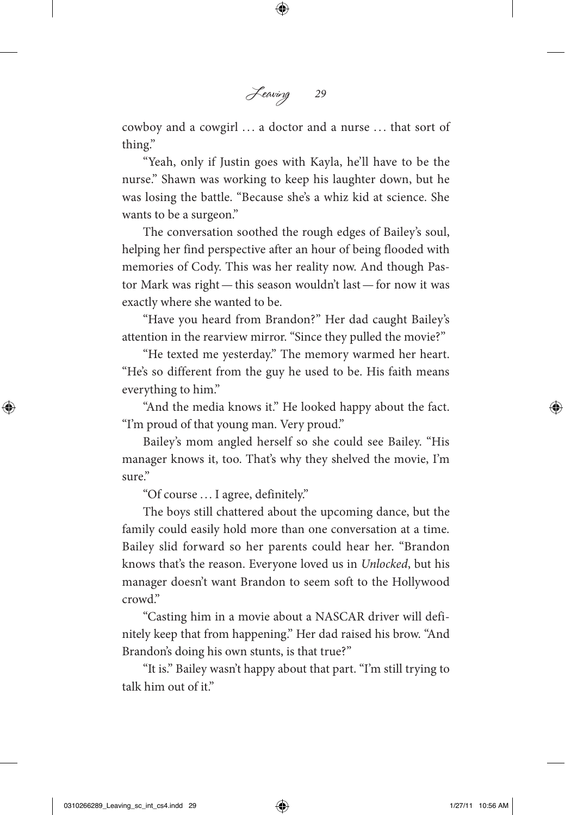

cowboy and a cowgirl ... a doctor and a nurse ... that sort of thing."

"Yeah, only if Justin goes with Kayla, he'll have to be the nurse." Shawn was working to keep his laughter down, but he was losing the battle. "Because she's a whiz kid at science. She wants to be a surgeon."

The conversation soothed the rough edges of Bailey's soul, helping her find perspective after an hour of being flooded with memories of Cody. This was her reality now. And though Pastor Mark was right — this season wouldn't last — for now it was exactly where she wanted to be.

"Have you heard from Brandon?" Her dad caught Bailey's attention in the rearview mirror. "Since they pulled the movie?"

"He texted me yesterday." The memory warmed her heart. "He's so different from the guy he used to be. His faith means everything to him."

"And the media knows it." He looked happy about the fact. "I'm proud of that young man. Very proud."

Bailey's mom angled herself so she could see Bailey. "His manager knows it, too. That's why they shelved the movie, I'm sure"

"Of course . . . I agree, definitely."

The boys still chattered about the upcoming dance, but the family could easily hold more than one conversation at a time. Bailey slid forward so her parents could hear her. "Brandon knows that's the reason. Everyone loved us in *Unlocked*, but his manager doesn't want Brandon to seem soft to the Hollywood crowd"

"Casting him in a movie about a NASCAR driver will definitely keep that from happening." Her dad raised his brow. "And Brandon's doing his own stunts, is that true?"

"It is." Bailey wasn't happy about that part. "I'm still trying to talk him out of it."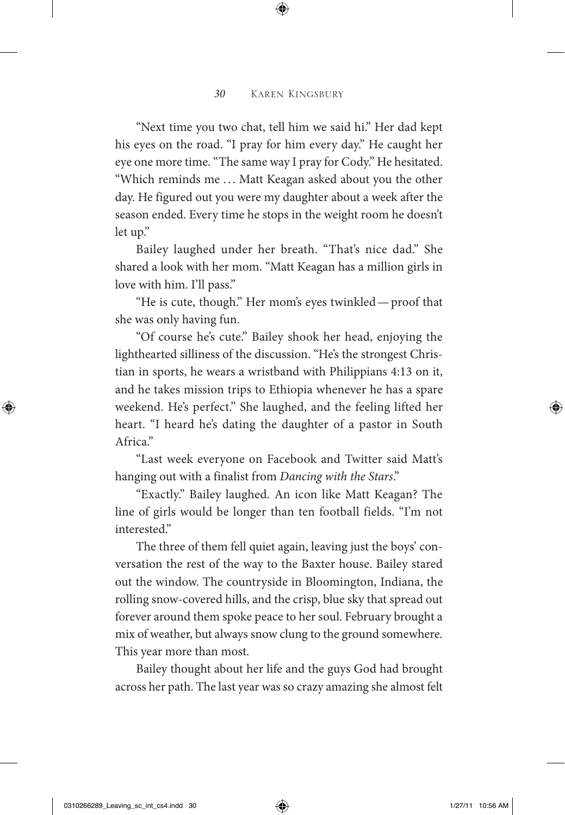"Next time you two chat, tell him we said hi." Her dad kept his eyes on the road. "I pray for him every day." He caught her eye one more time. "The same way I pray for Cody." He hesitated. "Which reminds me ... Matt Keagan asked about you the other day. He figured out you were my daughter about a week after the season ended. Every time he stops in the weight room he doesn't let up."

Bailey laughed under her breath. "That's nice dad." She shared a look with her mom. "Matt Keagan has a million girls in love with him. I'll pass."

"He is cute, though." Her mom's eyes twinkled — proof that she was only having fun.

"Of course he's cute." Bailey shook her head, enjoying the lighthearted silliness of the discussion. "He's the strongest Christian in sports, he wears a wristband with Philippians 4:13 on it, and he takes mission trips to Ethiopia whenever he has a spare weekend. He's perfect." She laughed, and the feeling lifted her heart. "I heard he's dating the daughter of a pastor in South Africa."

"Last week everyone on Facebook and Twitter said Matt's hanging out with a finalist from *Dancing with the Stars*."

"Exactly." Bailey laughed. An icon like Matt Keagan? The line of girls would be longer than ten football fields. "I'm not interested"

The three of them fell quiet again, leaving just the boys' conversation the rest of the way to the Baxter house. Bailey stared out the window. The countryside in Bloomington, Indiana, the rolling snow-covered hills, and the crisp, blue sky that spread out forever around them spoke peace to her soul. February brought a mix of weather, but always snow clung to the ground somewhere. This year more than most.

Bailey thought about her life and the guys God had brought across her path. The last year was so crazy amazing she almost felt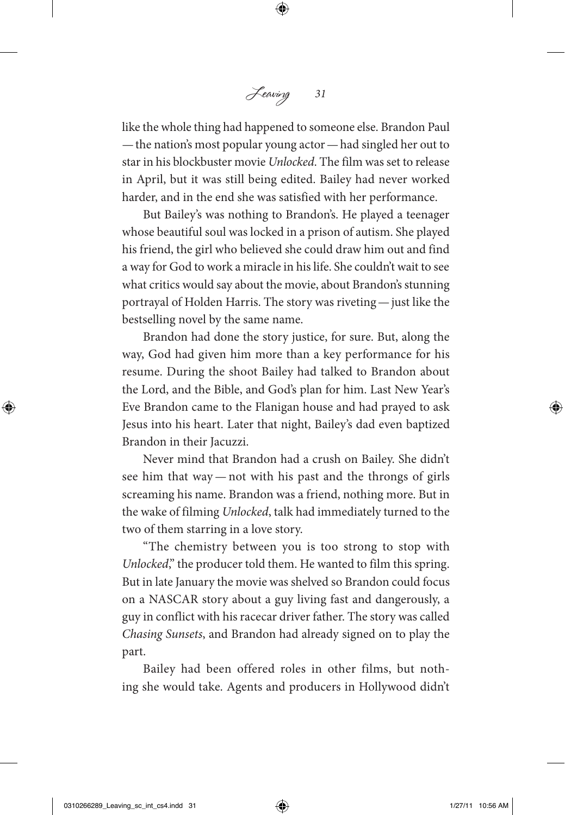

like the whole thing had happened to someone else. Brandon Paul — the nation's most popular young actor — had singled her out to star in his blockbuster movie *Unlocked*. The film was set to release in April, but it was still being edited. Bailey had never worked harder, and in the end she was satisfied with her performance.

But Bailey's was nothing to Brandon's. He played a teenager whose beautiful soul was locked in a prison of autism. She played his friend, the girl who believed she could draw him out and find a way for God to work a miracle in his life. She couldn't wait to see what critics would say about the movie, about Brandon's stunning portrayal of Holden Harris. The story was riveting — just like the bestselling novel by the same name.

Brandon had done the story justice, for sure. But, along the way, God had given him more than a key performance for his resume. During the shoot Bailey had talked to Brandon about the Lord, and the Bible, and God's plan for him. Last New Year's Eve Brandon came to the Flanigan house and had prayed to ask Jesus into his heart. Later that night, Bailey's dad even baptized Brandon in their Jacuzzi.

Never mind that Brandon had a crush on Bailey. She didn't see him that way — not with his past and the throngs of girls screaming his name. Brandon was a friend, nothing more. But in the wake of filming *Unlocked*, talk had immediately turned to the two of them starring in a love story.

"The chemistry between you is too strong to stop with *Unlocked*," the producer told them. He wanted to film this spring. But in late January the movie was shelved so Brandon could focus on a NASCAR story about a guy living fast and dangerously, a guy in conflict with his racecar driver father. The story was called *Chasing Sunsets*, and Brandon had already signed on to play the part.

Bailey had been offered roles in other films, but nothing she would take. Agents and producers in Hollywood didn't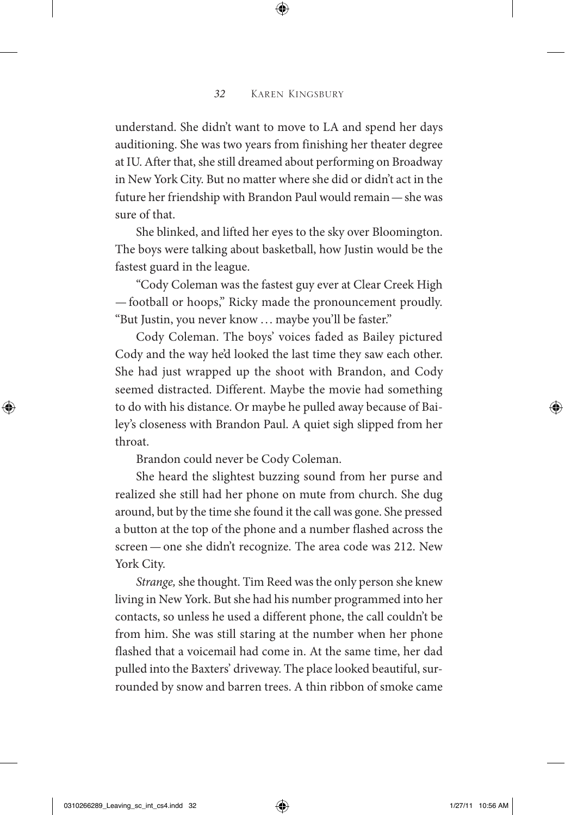understand. She didn't want to move to LA and spend her days auditioning. She was two years from finishing her theater degree at IU. After that, she still dreamed about performing on Broadway in New York City. But no matter where she did or didn't act in the future her friendship with Brandon Paul would remain — she was sure of that.

She blinked, and lifted her eyes to the sky over Bloomington. The boys were talking about basketball, how Justin would be the fastest guard in the league.

"Cody Coleman was the fastest guy ever at Clear Creek High — football or hoops," Ricky made the pronouncement proudly. "But Justin, you never know . . . maybe you'll be faster."

Cody Coleman. The boys' voices faded as Bailey pictured Cody and the way he'd looked the last time they saw each other. She had just wrapped up the shoot with Brandon, and Cody seemed distracted. Different. Maybe the movie had something to do with his distance. Or maybe he pulled away because of Bailey's closeness with Brandon Paul. A quiet sigh slipped from her throat.

Brandon could never be Cody Coleman.

She heard the slightest buzzing sound from her purse and realized she still had her phone on mute from church. She dug around, but by the time she found it the call was gone. She pressed a button at the top of the phone and a number flashed across the screen — one she didn't recognize. The area code was 212. New York City.

*Strange,* she thought. Tim Reed was the only person she knew living in New York. But she had his number programmed into her contacts, so unless he used a different phone, the call couldn't be from him. She was still staring at the number when her phone flashed that a voicemail had come in. At the same time, her dad pulled into the Baxters' driveway. The place looked beautiful, surrounded by snow and barren trees. A thin ribbon of smoke came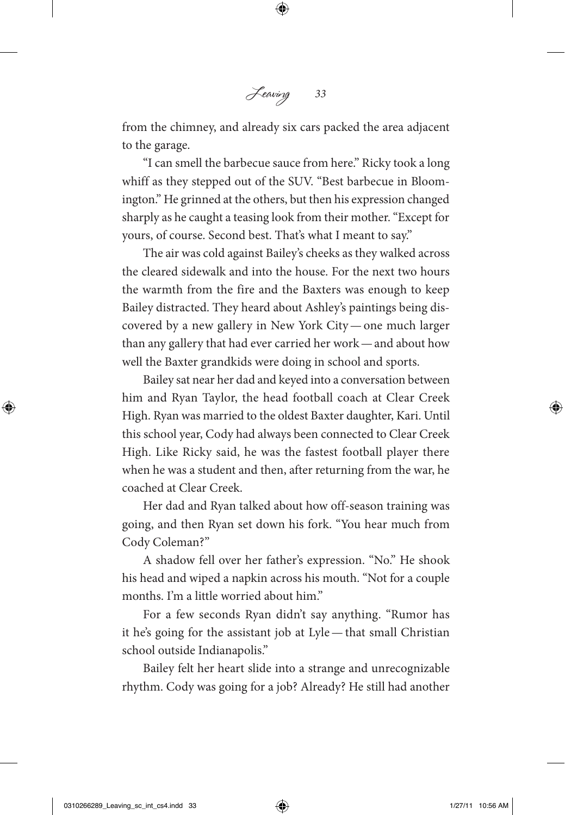

from the chimney, and already six cars packed the area adjacent to the garage.

"I can smell the barbecue sauce from here." Ricky took a long whiff as they stepped out of the SUV. "Best barbecue in Bloomington." He grinned at the others, but then his expression changed sharply as he caught a teasing look from their mother. "Except for yours, of course. Second best. That's what I meant to say."

The air was cold against Bailey's cheeks as they walked across the cleared sidewalk and into the house. For the next two hours the warmth from the fire and the Baxters was enough to keep Bailey distracted. They heard about Ashley's paintings being discovered by a new gallery in New York City — one much larger than any gallery that had ever carried her work — and about how well the Baxter grandkids were doing in school and sports.

Bailey sat near her dad and keyed into a conversation between him and Ryan Taylor, the head football coach at Clear Creek High. Ryan was married to the oldest Baxter daughter, Kari. Until this school year, Cody had always been connected to Clear Creek High. Like Ricky said, he was the fastest football player there when he was a student and then, after returning from the war, he coached at Clear Creek.

Her dad and Ryan talked about how off-season training was going, and then Ryan set down his fork. "You hear much from Cody Coleman?"

A shadow fell over her father's expression. "No." He shook his head and wiped a napkin across his mouth. "Not for a couple months. I'm a little worried about him."

For a few seconds Ryan didn't say anything. "Rumor has it he's going for the assistant job at Lyle — that small Christian school outside Indianapolis."

Bailey felt her heart slide into a strange and unrecognizable rhythm. Cody was going for a job? Already? He still had another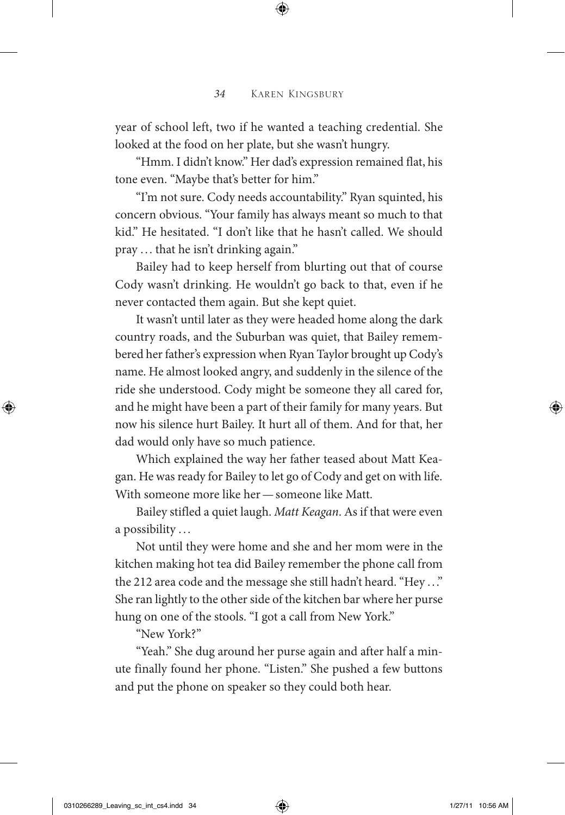year of school left, two if he wanted a teaching credential. She looked at the food on her plate, but she wasn't hungry.

"Hmm. I didn't know." Her dad's expression remained flat, his tone even. "Maybe that's better for him."

"I'm not sure. Cody needs accountability." Ryan squinted, his concern obvious. "Your family has always meant so much to that kid." He hesitated. "I don't like that he hasn't called. We should pray . . . that he isn't drinking again."

Bailey had to keep herself from blurting out that of course Cody wasn't drinking. He wouldn't go back to that, even if he never contacted them again. But she kept quiet.

It wasn't until later as they were headed home along the dark country roads, and the Suburban was quiet, that Bailey remembered her father's expression when Ryan Taylor brought up Cody's name. He almost looked angry, and suddenly in the silence of the ride she understood. Cody might be someone they all cared for, and he might have been a part of their family for many years. But now his silence hurt Bailey. It hurt all of them. And for that, her dad would only have so much patience.

Which explained the way her father teased about Matt Keagan. He was ready for Bailey to let go of Cody and get on with life. With someone more like her — someone like Matt.

Bailey stifled a quiet laugh. *Matt Keagan*. As if that were even a possibility ...

Not until they were home and she and her mom were in the kitchen making hot tea did Bailey remember the phone call from the 212 area code and the message she still hadn't heard. "Hey . . ." She ran lightly to the other side of the kitchen bar where her purse hung on one of the stools. "I got a call from New York."

"New York?"

"Yeah." She dug around her purse again and after half a minute finally found her phone. "Listen." She pushed a few buttons and put the phone on speaker so they could both hear.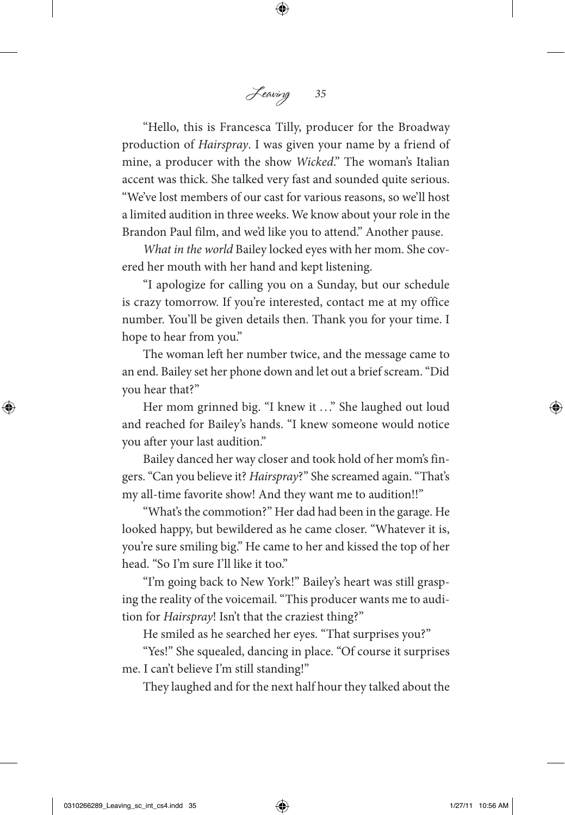

"Hello, this is Francesca Tilly, producer for the Broadway production of *Hairspray*. I was given your name by a friend of mine, a producer with the show *Wicked*." The woman's Italian accent was thick. She talked very fast and sounded quite serious. "We've lost members of our cast for various reasons, so we'll host a limited audition in three weeks. We know about your role in the Brandon Paul film, and we'd like you to attend." Another pause.

*What in the world* Bailey locked eyes with her mom. She covered her mouth with her hand and kept listening.

"I apologize for calling you on a Sunday, but our schedule is crazy tomorrow. If you're interested, contact me at my office number. You'll be given details then. Thank you for your time. I hope to hear from you."

The woman left her number twice, and the message came to an end. Bailey set her phone down and let out a brief scream. "Did you hear that?"

Her mom grinned big. "I knew it ..." She laughed out loud and reached for Bailey's hands. "I knew someone would notice you after your last audition."

Bailey danced her way closer and took hold of her mom's fingers. "Can you believe it? *Hairspray*?" She screamed again. "That's my all-time favorite show! And they want me to audition!!"

"What's the commotion?" Her dad had been in the garage. He looked happy, but bewildered as he came closer. "Whatever it is, you're sure smiling big." He came to her and kissed the top of her head. "So I'm sure I'll like it too."

"I'm going back to New York!" Bailey's heart was still grasping the reality of the voicemail. "This producer wants me to audition for *Hairspray*! Isn't that the craziest thing?"

He smiled as he searched her eyes. "That surprises you?"

"Yes!" She squealed, dancing in place. "Of course it surprises me. I can't believe I'm still standing!"

They laughed and for the next half hour they talked about the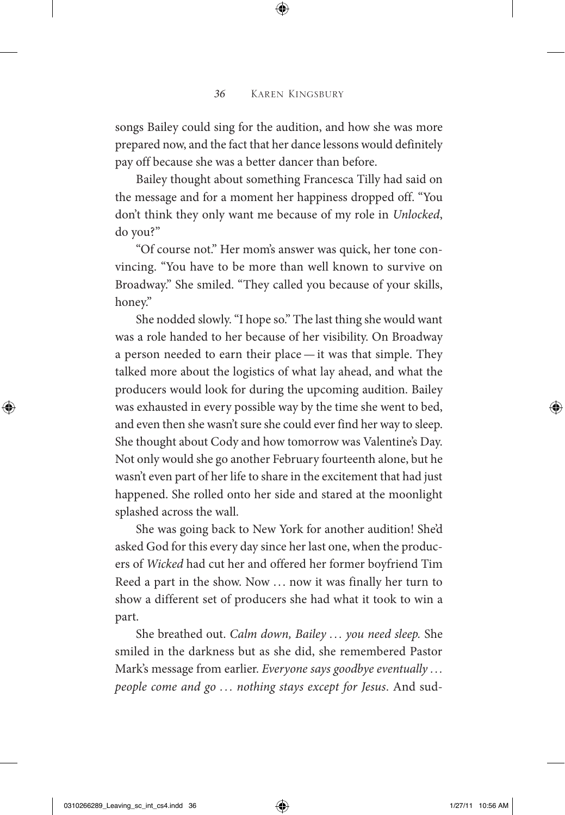songs Bailey could sing for the audition, and how she was more prepared now, and the fact that her dance lessons would definitely pay off because she was a better dancer than before.

Bailey thought about something Francesca Tilly had said on the message and for a moment her happiness dropped off. "You don't think they only want me because of my role in *Unlocked*, do you?"

"Of course not." Her mom's answer was quick, her tone convincing. "You have to be more than well known to survive on Broadway." She smiled. "They called you because of your skills, honey."

She nodded slowly. "I hope so." The last thing she would want was a role handed to her because of her visibility. On Broadway a person needed to earn their place — it was that simple. They talked more about the logistics of what lay ahead, and what the producers would look for during the upcoming audition. Bailey was exhausted in every possible way by the time she went to bed, and even then she wasn't sure she could ever find her way to sleep. She thought about Cody and how tomorrow was Valentine's Day. Not only would she go another February fourteenth alone, but he wasn't even part of her life to share in the excitement that had just happened. She rolled onto her side and stared at the moonlight splashed across the wall.

She was going back to New York for another audition! She'd asked God for this every day since her last one, when the producers of *Wicked* had cut her and offered her former boyfriend Tim Reed a part in the show. Now ... now it was finally her turn to show a different set of producers she had what it took to win a part.

She breathed out. *Calm down, Bailey . . . you need sleep.* She smiled in the darkness but as she did, she remembered Pastor Mark's message from earlier. *Everyone says goodbye eventually . . . people come and go . . . nothing stays except for Jesus*. And sud-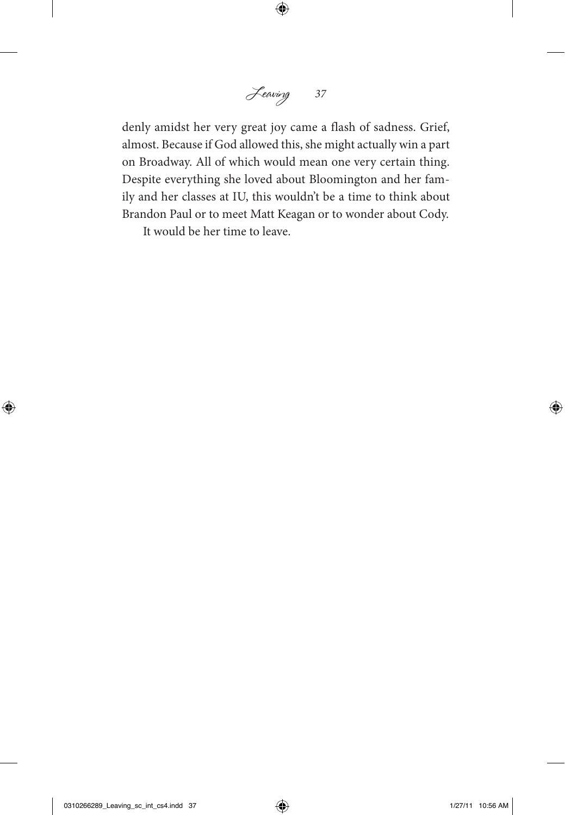

denly amidst her very great joy came a flash of sadness. Grief, almost. Because if God allowed this, she might actually win a part on Broadway. All of which would mean one very certain thing. Despite everything she loved about Bloomington and her family and her classes at IU, this wouldn't be a time to think about Brandon Paul or to meet Matt Keagan or to wonder about Cody.

It would be her time to leave.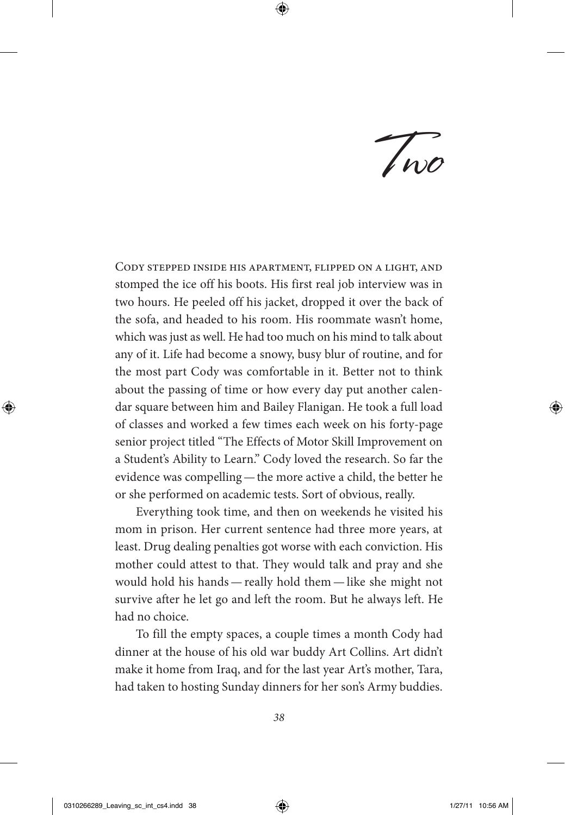## Two

Cody stepped inside his apartment, flipped on a light, and stomped the ice off his boots. His first real job interview was in two hours. He peeled off his jacket, dropped it over the back of the sofa, and headed to his room. His roommate wasn't home, which was just as well. He had too much on his mind to talk about any of it. Life had become a snowy, busy blur of routine, and for the most part Cody was comfortable in it. Better not to think about the passing of time or how every day put another calendar square between him and Bailey Flanigan. He took a full load of classes and worked a few times each week on his forty-page senior project titled "The Effects of Motor Skill Improvement on a Student's Ability to Learn." Cody loved the research. So far the evidence was compelling — the more active a child, the better he or she performed on academic tests. Sort of obvious, really.

Everything took time, and then on weekends he visited his mom in prison. Her current sentence had three more years, at least. Drug dealing penalties got worse with each conviction. His mother could attest to that. They would talk and pray and she would hold his hands — really hold them — like she might not survive after he let go and left the room. But he always left. He had no choice.

To fill the empty spaces, a couple times a month Cody had dinner at the house of his old war buddy Art Collins. Art didn't make it home from Iraq, and for the last year Art's mother, Tara, had taken to hosting Sunday dinners for her son's Army buddies.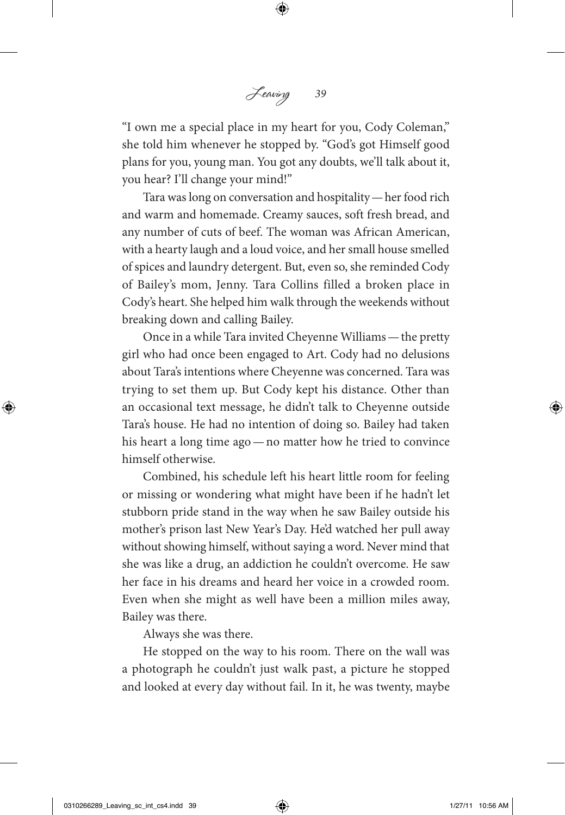

"I own me a special place in my heart for you, Cody Coleman," she told him whenever he stopped by. "God's got Himself good plans for you, young man. You got any doubts, we'll talk about it, you hear? I'll change your mind!"

Tara was long on conversation and hospitality — her food rich and warm and homemade. Creamy sauces, soft fresh bread, and any number of cuts of beef. The woman was African American, with a hearty laugh and a loud voice, and her small house smelled of spices and laundry detergent. But, even so, she reminded Cody of Bailey's mom, Jenny. Tara Collins filled a broken place in Cody's heart. She helped him walk through the weekends without breaking down and calling Bailey.

Once in a while Tara invited Cheyenne Williams — the pretty girl who had once been engaged to Art. Cody had no delusions about Tara's intentions where Cheyenne was concerned. Tara was trying to set them up. But Cody kept his distance. Other than an occasional text message, he didn't talk to Cheyenne outside Tara's house. He had no intention of doing so. Bailey had taken his heart a long time ago — no matter how he tried to convince himself otherwise.

Combined, his schedule left his heart little room for feeling or missing or wondering what might have been if he hadn't let stubborn pride stand in the way when he saw Bailey outside his mother's prison last New Year's Day. He'd watched her pull away without showing himself, without saying a word. Never mind that she was like a drug, an addiction he couldn't overcome. He saw her face in his dreams and heard her voice in a crowded room. Even when she might as well have been a million miles away, Bailey was there.

Always she was there.

He stopped on the way to his room. There on the wall was a photograph he couldn't just walk past, a picture he stopped and looked at every day without fail. In it, he was twenty, maybe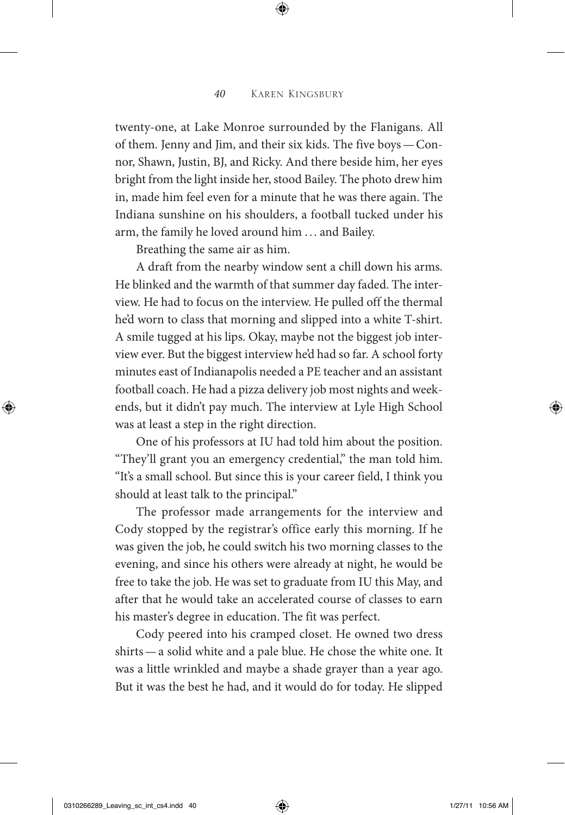twenty-one, at Lake Monroe surrounded by the Flanigans. All of them. Jenny and Jim, and their six kids. The five boys — Connor, Shawn, Justin, BJ, and Ricky. And there beside him, her eyes bright from the light inside her, stood Bailey. The photo drew him in, made him feel even for a minute that he was there again. The Indiana sunshine on his shoulders, a football tucked under his arm, the family he loved around him ... and Bailey.

Breathing the same air as him.

A draft from the nearby window sent a chill down his arms. He blinked and the warmth of that summer day faded. The interview. He had to focus on the interview. He pulled off the thermal he'd worn to class that morning and slipped into a white T-shirt. A smile tugged at his lips. Okay, maybe not the biggest job interview ever. But the biggest interview he'd had so far. A school forty minutes east of Indianapolis needed a PE teacher and an assistant football coach. He had a pizza delivery job most nights and weekends, but it didn't pay much. The interview at Lyle High School was at least a step in the right direction.

One of his professors at IU had told him about the position. "They'll grant you an emergency credential," the man told him. "It's a small school. But since this is your career field, I think you should at least talk to the principal."

The professor made arrangements for the interview and Cody stopped by the registrar's office early this morning. If he was given the job, he could switch his two morning classes to the evening, and since his others were already at night, he would be free to take the job. He was set to graduate from IU this May, and after that he would take an accelerated course of classes to earn his master's degree in education. The fit was perfect.

Cody peered into his cramped closet. He owned two dress shirts — a solid white and a pale blue. He chose the white one. It was a little wrinkled and maybe a shade grayer than a year ago. But it was the best he had, and it would do for today. He slipped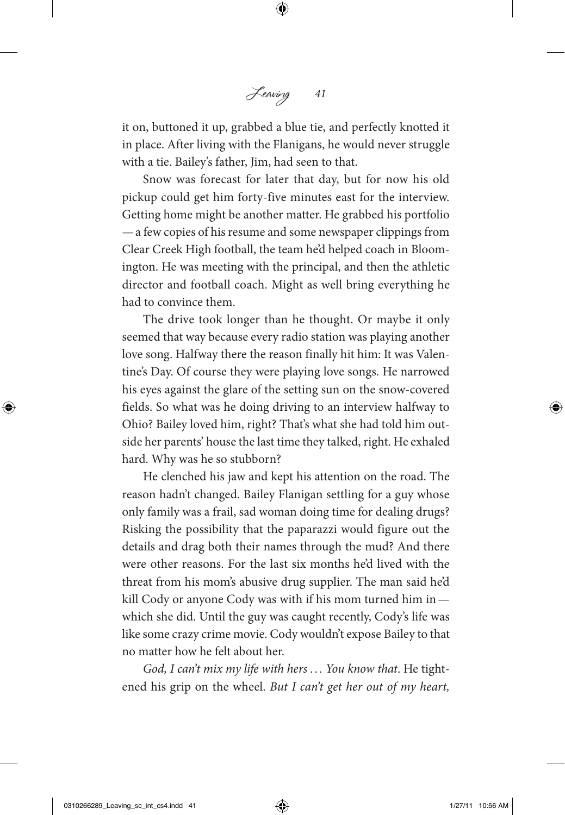

it on, buttoned it up, grabbed a blue tie, and perfectly knotted it in place. After living with the Flanigans, he would never struggle with a tie. Bailey's father, Jim, had seen to that.

Snow was forecast for later that day, but for now his old pickup could get him forty-five minutes east for the interview. Getting home might be another matter. He grabbed his portfolio — a few copies of his resume and some newspaper clippings from Clear Creek High football, the team he'd helped coach in Bloomington. He was meeting with the principal, and then the athletic director and football coach. Might as well bring everything he had to convince them.

The drive took longer than he thought. Or maybe it only seemed that way because every radio station was playing another love song. Halfway there the reason finally hit him: It was Valentine's Day. Of course they were playing love songs. He narrowed his eyes against the glare of the setting sun on the snow-covered fields. So what was he doing driving to an interview halfway to Ohio? Bailey loved him, right? That's what she had told him outside her parents' house the last time they talked, right. He exhaled hard. Why was he so stubborn?

He clenched his jaw and kept his attention on the road. The reason hadn't changed. Bailey Flanigan settling for a guy whose only family was a frail, sad woman doing time for dealing drugs? Risking the possibility that the paparazzi would figure out the details and drag both their names through the mud? And there were other reasons. For the last six months he'd lived with the threat from his mom's abusive drug supplier. The man said he'd kill Cody or anyone Cody was with if his mom turned him in which she did. Until the guy was caught recently, Cody's life was like some crazy crime movie. Cody wouldn't expose Bailey to that no matter how he felt about her.

*God, I can't mix my life with hers . . . You know that*. He tightened his grip on the wheel. *But I can't get her out of my heart,*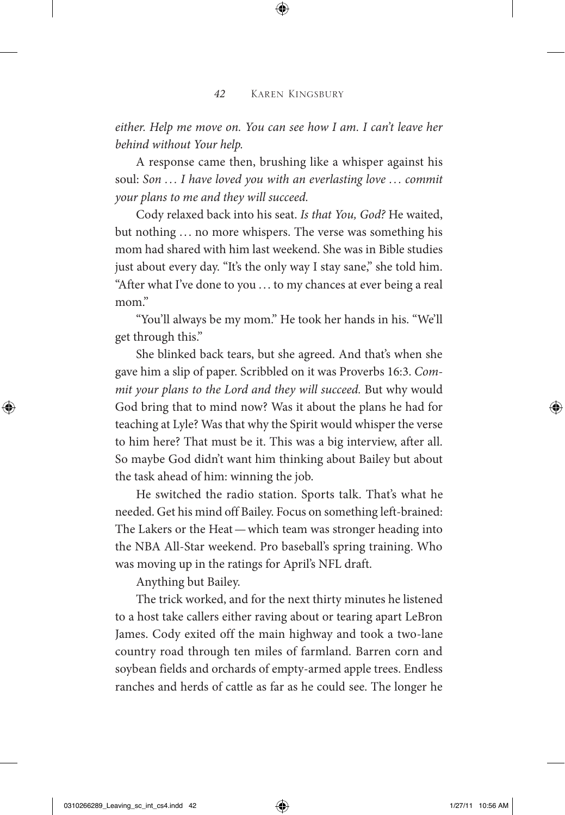*either. Help me move on. You can see how I am. I can't leave her behind without Your help.*

A response came then, brushing like a whisper against his soul: *Son . . . I have loved you with an everlasting love . . . commit your plans to me and they will succeed.*

Cody relaxed back into his seat. *Is that You, God?* He waited, but nothing ... no more whispers. The verse was something his mom had shared with him last weekend. She was in Bible studies just about every day. "It's the only way I stay sane," she told him. "After what I've done to you . . . to my chances at ever being a real mom<sup>"</sup>

"You'll always be my mom." He took her hands in his. "We'll get through this."

She blinked back tears, but she agreed. And that's when she gave him a slip of paper. Scribbled on it was Proverbs 16:3. *Commit your plans to the Lord and they will succeed.* But why would God bring that to mind now? Was it about the plans he had for teaching at Lyle? Was that why the Spirit would whisper the verse to him here? That must be it. This was a big interview, after all. So maybe God didn't want him thinking about Bailey but about the task ahead of him: winning the job.

He switched the radio station. Sports talk. That's what he needed. Get his mind off Bailey. Focus on something left-brained: The Lakers or the Heat — which team was stronger heading into the NBA All-Star weekend. Pro baseball's spring training. Who was moving up in the ratings for April's NFL draft.

Anything but Bailey.

The trick worked, and for the next thirty minutes he listened to a host take callers either raving about or tearing apart LeBron James. Cody exited off the main highway and took a two-lane country road through ten miles of farmland. Barren corn and soybean fields and orchards of empty-armed apple trees. Endless ranches and herds of cattle as far as he could see. The longer he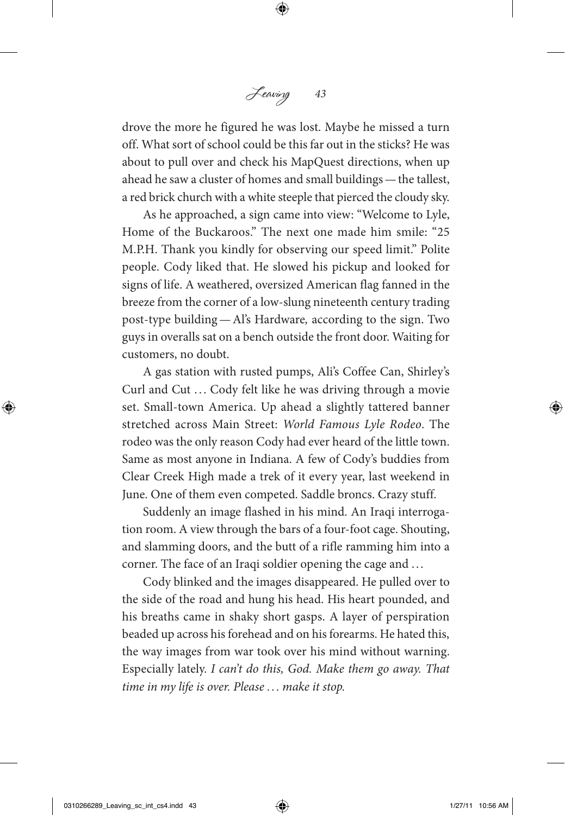

drove the more he figured he was lost. Maybe he missed a turn off. What sort of school could be this far out in the sticks? He was about to pull over and check his MapQuest directions, when up ahead he saw a cluster of homes and small buildings — the tallest, a red brick church with a white steeple that pierced the cloudy sky.

As he approached, a sign came into view: "Welcome to Lyle, Home of the Buckaroos." The next one made him smile: "25 M.P.H. Thank you kindly for observing our speed limit." Polite people. Cody liked that. He slowed his pickup and looked for signs of life. A weathered, oversized American flag fanned in the breeze from the corner of a low-slung nineteenth century trading post-type building — Al's Hardware*,* according to the sign. Two guys in overalls sat on a bench outside the front door. Waiting for customers, no doubt.

A gas station with rusted pumps, Ali's Coffee Can, Shirley's Curl and Cut ... Cody felt like he was driving through a movie set. Small-town America. Up ahead a slightly tattered banner stretched across Main Street: *World Famous Lyle Rodeo*. The rodeo was the only reason Cody had ever heard of the little town. Same as most anyone in Indiana. A few of Cody's buddies from Clear Creek High made a trek of it every year, last weekend in June. One of them even competed. Saddle broncs. Crazy stuff.

Suddenly an image flashed in his mind. An Iraqi interrogation room. A view through the bars of a four-foot cage. Shouting, and slamming doors, and the butt of a rifle ramming him into a corner. The face of an Iraqi soldier opening the cage and . . .

Cody blinked and the images disappeared. He pulled over to the side of the road and hung his head. His heart pounded, and his breaths came in shaky short gasps. A layer of perspiration beaded up across his forehead and on his forearms. He hated this, the way images from war took over his mind without warning. Especially lately. *I can't do this, God. Make them go away. That time in my life is over. Please . . . make it stop.*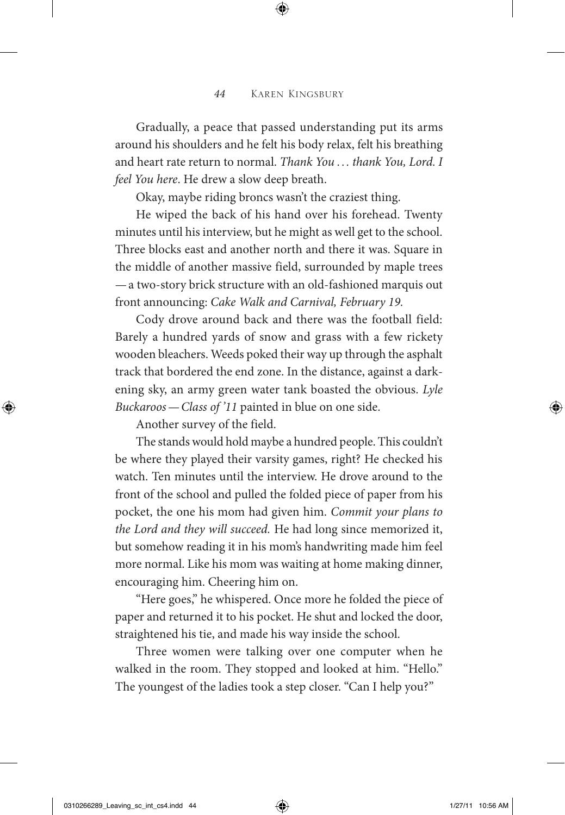Gradually, a peace that passed understanding put its arms around his shoulders and he felt his body relax, felt his breathing and heart rate return to normal. *Thank You . . . thank You, Lord. I feel You here*. He drew a slow deep breath.

Okay, maybe riding broncs wasn't the craziest thing.

He wiped the back of his hand over his forehead. Twenty minutes until his interview, but he might as well get to the school. Three blocks east and another north and there it was. Square in the middle of another massive field, surrounded by maple trees — a two-story brick structure with an old-fashioned marquis out front announcing: *Cake Walk and Carnival, February 19.*

Cody drove around back and there was the football field: Barely a hundred yards of snow and grass with a few rickety wooden bleachers. Weeds poked their way up through the asphalt track that bordered the end zone. In the distance, against a darkening sky, an army green water tank boasted the obvious. *Lyle Buckaroos — Class of '11* painted in blue on one side.

Another survey of the field.

The stands would hold maybe a hundred people. This couldn't be where they played their varsity games, right? He checked his watch. Ten minutes until the interview. He drove around to the front of the school and pulled the folded piece of paper from his pocket, the one his mom had given him. *Commit your plans to the Lord and they will succeed.* He had long since memorized it, but somehow reading it in his mom's handwriting made him feel more normal. Like his mom was waiting at home making dinner, encouraging him. Cheering him on.

"Here goes," he whispered. Once more he folded the piece of paper and returned it to his pocket. He shut and locked the door, straightened his tie, and made his way inside the school.

Three women were talking over one computer when he walked in the room. They stopped and looked at him. "Hello." The youngest of the ladies took a step closer. "Can I help you?"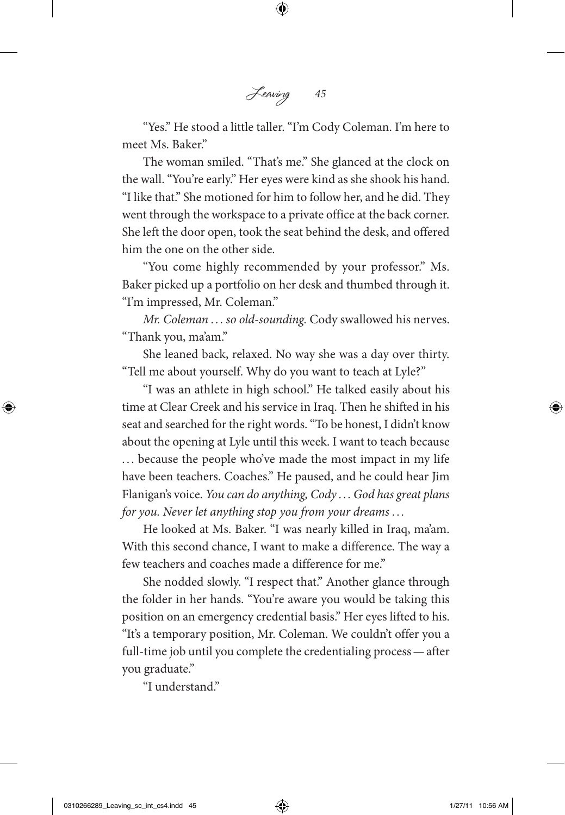

"Yes." He stood a little taller. "I'm Cody Coleman. I'm here to meet Ms. Baker."

The woman smiled. "That's me." She glanced at the clock on the wall. "You're early." Her eyes were kind as she shook his hand. "I like that." She motioned for him to follow her, and he did. They went through the workspace to a private office at the back corner. She left the door open, took the seat behind the desk, and offered him the one on the other side.

"You come highly recommended by your professor." Ms. Baker picked up a portfolio on her desk and thumbed through it. "I'm impressed, Mr. Coleman."

*Mr. Coleman . . . so old-sounding.* Cody swallowed his nerves. "Thank you, ma'am."

She leaned back, relaxed. No way she was a day over thirty. "Tell me about yourself. Why do you want to teach at Lyle?"

"I was an athlete in high school." He talked easily about his time at Clear Creek and his service in Iraq. Then he shifted in his seat and searched for the right words. "To be honest, I didn't know about the opening at Lyle until this week. I want to teach because . . . because the people who've made the most impact in my life have been teachers. Coaches." He paused, and he could hear Jim Flanigan's voice. *You can do anything, Cody . . . God has great plans for you. Never let anything stop you from your dreams . . .*

He looked at Ms. Baker. "I was nearly killed in Iraq, ma'am. With this second chance, I want to make a difference. The way a few teachers and coaches made a difference for me."

She nodded slowly. "I respect that." Another glance through the folder in her hands. "You're aware you would be taking this position on an emergency credential basis." Her eyes lifted to his. "It's a temporary position, Mr. Coleman. We couldn't offer you a full-time job until you complete the credentialing process — after you graduate."

"I understand."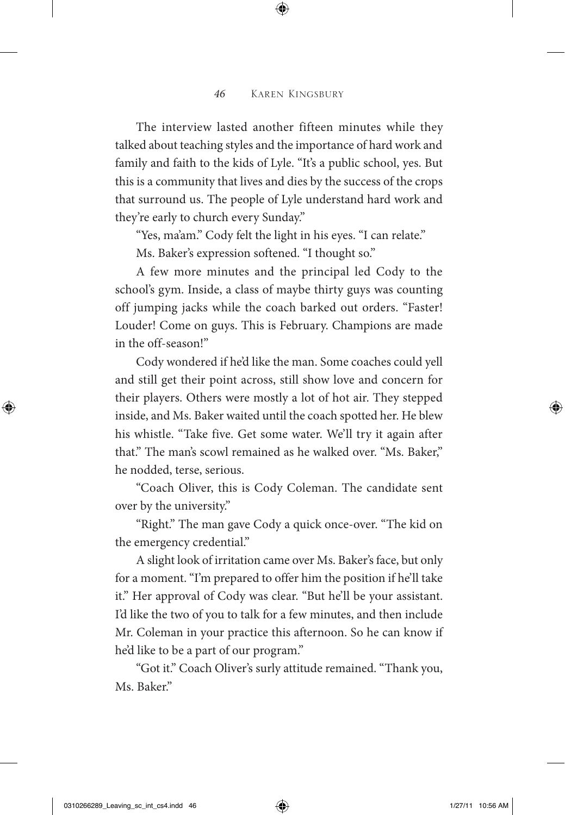The interview lasted another fifteen minutes while they talked about teaching styles and the importance of hard work and family and faith to the kids of Lyle. "It's a public school, yes. But this is a community that lives and dies by the success of the crops that surround us. The people of Lyle understand hard work and they're early to church every Sunday."

"Yes, ma'am." Cody felt the light in his eyes. "I can relate."

Ms. Baker's expression softened. "I thought so."

A few more minutes and the principal led Cody to the school's gym. Inside, a class of maybe thirty guys was counting off jumping jacks while the coach barked out orders. "Faster! Louder! Come on guys. This is February. Champions are made in the off-season!"

Cody wondered if he'd like the man. Some coaches could yell and still get their point across, still show love and concern for their players. Others were mostly a lot of hot air. They stepped inside, and Ms. Baker waited until the coach spotted her. He blew his whistle. "Take five. Get some water. We'll try it again after that." The man's scowl remained as he walked over. "Ms. Baker," he nodded, terse, serious.

"Coach Oliver, this is Cody Coleman. The candidate sent over by the university."

"Right." The man gave Cody a quick once-over. "The kid on the emergency credential."

A slight look of irritation came over Ms. Baker's face, but only for a moment. "I'm prepared to offer him the position if he'll take it." Her approval of Cody was clear. "But he'll be your assistant. I'd like the two of you to talk for a few minutes, and then include Mr. Coleman in your practice this afternoon. So he can know if he'd like to be a part of our program."

"Got it." Coach Oliver's surly attitude remained. "Thank you, Ms. Baker."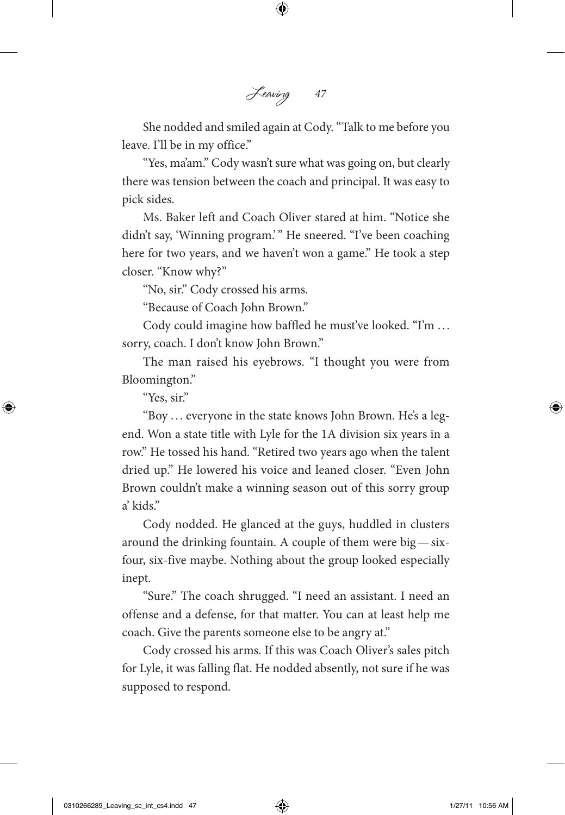

She nodded and smiled again at Cody. "Talk to me before you leave. I'll be in my office."

"Yes, ma'am." Cody wasn't sure what was going on, but clearly there was tension between the coach and principal. It was easy to pick sides.

Ms. Baker left and Coach Oliver stared at him. "Notice she didn't say, 'Winning program.'" He sneered. "I've been coaching here for two years, and we haven't won a game." He took a step closer. "Know why?"

"No, sir." Cody crossed his arms.

"Because of Coach John Brown."

Cody could imagine how baffled he must've looked. "I'm . . . sorry, coach. I don't know John Brown."

The man raised his eyebrows. "I thought you were from Bloomington."

"Yes, sir."

"Boy . . . everyone in the state knows John Brown. He's a legend. Won a state title with Lyle for the 1A division six years in a row." He tossed his hand. "Retired two years ago when the talent dried up." He lowered his voice and leaned closer. "Even John Brown couldn't make a winning season out of this sorry group a' kids."

Cody nodded. He glanced at the guys, huddled in clusters around the drinking fountain. A couple of them were  $big-six$ four, six-five maybe. Nothing about the group looked especially inept.

"Sure." The coach shrugged. "I need an assistant. I need an offense and a defense, for that matter. You can at least help me coach. Give the parents someone else to be angry at."

Cody crossed his arms. If this was Coach Oliver's sales pitch for Lyle, it was falling flat. He nodded absently, not sure if he was supposed to respond.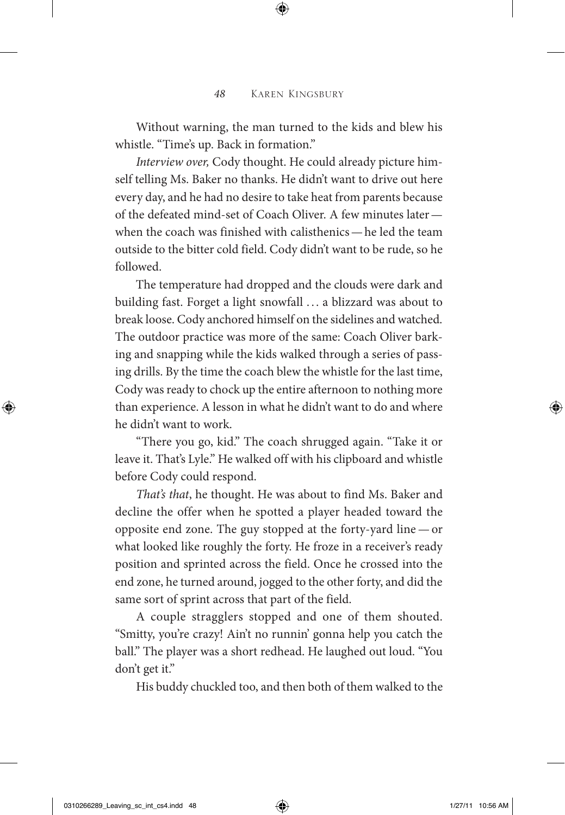Without warning, the man turned to the kids and blew his whistle. "Time's up. Back in formation."

*Interview over,* Cody thought. He could already picture himself telling Ms. Baker no thanks. He didn't want to drive out here every day, and he had no desire to take heat from parents because of the defeated mind-set of Coach Oliver. A few minutes later when the coach was finished with calisthenics — he led the team outside to the bitter cold field. Cody didn't want to be rude, so he followed.

The temperature had dropped and the clouds were dark and building fast. Forget a light snowfall ... a blizzard was about to break loose. Cody anchored himself on the sidelines and watched. The outdoor practice was more of the same: Coach Oliver barking and snapping while the kids walked through a series of passing drills. By the time the coach blew the whistle for the last time, Cody was ready to chock up the entire afternoon to nothing more than experience. A lesson in what he didn't want to do and where he didn't want to work.

"There you go, kid." The coach shrugged again. "Take it or leave it. That's Lyle." He walked off with his clipboard and whistle before Cody could respond.

*That's that*, he thought. He was about to find Ms. Baker and decline the offer when he spotted a player headed toward the opposite end zone. The guy stopped at the forty-yard line — or what looked like roughly the forty. He froze in a receiver's ready position and sprinted across the field. Once he crossed into the end zone, he turned around, jogged to the other forty, and did the same sort of sprint across that part of the field.

A couple stragglers stopped and one of them shouted. "Smitty, you're crazy! Ain't no runnin' gonna help you catch the ball." The player was a short redhead. He laughed out loud. "You don't get it."

His buddy chuckled too, and then both of them walked to the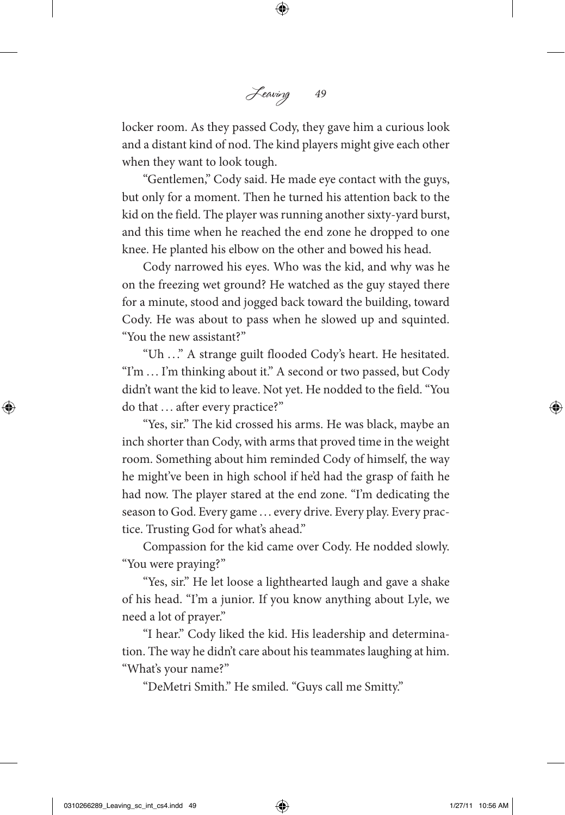

locker room. As they passed Cody, they gave him a curious look and a distant kind of nod. The kind players might give each other when they want to look tough.

"Gentlemen," Cody said. He made eye contact with the guys, but only for a moment. Then he turned his attention back to the kid on the field. The player was running another sixty-yard burst, and this time when he reached the end zone he dropped to one knee. He planted his elbow on the other and bowed his head.

Cody narrowed his eyes. Who was the kid, and why was he on the freezing wet ground? He watched as the guy stayed there for a minute, stood and jogged back toward the building, toward Cody. He was about to pass when he slowed up and squinted. "You the new assistant?"

"Uh . . ." A strange guilt flooded Cody's heart. He hesitated. "I'm ... I'm thinking about it." A second or two passed, but Cody didn't want the kid to leave. Not yet. He nodded to the field. "You do that ... after every practice?"

"Yes, sir." The kid crossed his arms. He was black, maybe an inch shorter than Cody, with arms that proved time in the weight room. Something about him reminded Cody of himself, the way he might've been in high school if he'd had the grasp of faith he had now. The player stared at the end zone. "I'm dedicating the season to God. Every game ... every drive. Every play. Every practice. Trusting God for what's ahead."

Compassion for the kid came over Cody. He nodded slowly. "You were praying?"

"Yes, sir." He let loose a lighthearted laugh and gave a shake of his head. "I'm a junior. If you know anything about Lyle, we need a lot of prayer."

"I hear." Cody liked the kid. His leadership and determination. The way he didn't care about his teammates laughing at him. "What's your name?"

"DeMetri Smith." He smiled. "Guys call me Smitty."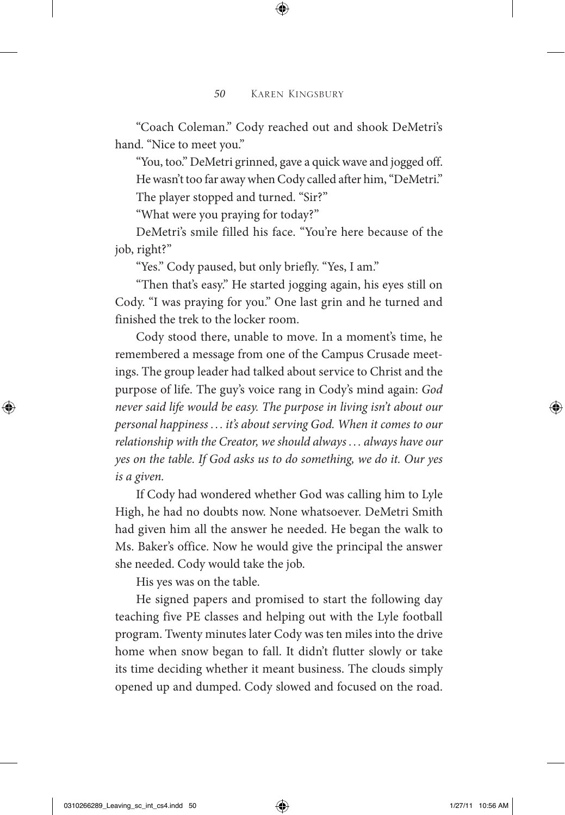"Coach Coleman." Cody reached out and shook DeMetri's hand. "Nice to meet you."

"You, too." DeMetri grinned, gave a quick wave and jogged off. He wasn't too far away when Cody called after him, "DeMetri." The player stopped and turned. "Sir?"

"What were you praying for today?"

DeMetri's smile filled his face. "You're here because of the job, right?"

"Yes." Cody paused, but only briefly. "Yes, I am."

"Then that's easy." He started jogging again, his eyes still on Cody. "I was praying for you." One last grin and he turned and finished the trek to the locker room.

Cody stood there, unable to move. In a moment's time, he remembered a message from one of the Campus Crusade meetings. The group leader had talked about service to Christ and the purpose of life. The guy's voice rang in Cody's mind again: *God never said life would be easy. The purpose in living isn't about our personal happiness . . . it's about serving God. When it comes to our relationship with the Creator, we should always . . . always have our yes on the table. If God asks us to do something, we do it. Our yes is a given.*

If Cody had wondered whether God was calling him to Lyle High, he had no doubts now. None whatsoever. DeMetri Smith had given him all the answer he needed. He began the walk to Ms. Baker's office. Now he would give the principal the answer she needed. Cody would take the job.

His yes was on the table.

He signed papers and promised to start the following day teaching five PE classes and helping out with the Lyle football program. Twenty minutes later Cody was ten miles into the drive home when snow began to fall. It didn't flutter slowly or take its time deciding whether it meant business. The clouds simply opened up and dumped. Cody slowed and focused on the road.